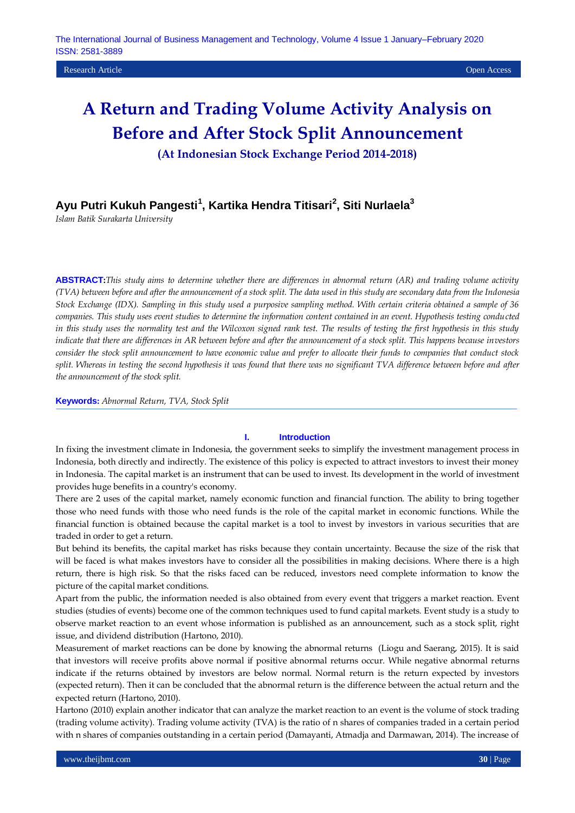**(At Indonesian Stock Exchange Period 2014-2018)**

# **Ayu Putri Kukuh Pangesti<sup>1</sup> , Kartika Hendra Titisari<sup>2</sup> , Siti Nurlaela<sup>3</sup>**

*Islam Batik Surakarta University*

**ABSTRACT:***This study aims to determine whether there are differences in abnormal return (AR) and trading volume activity (TVA) between before and after the announcement of a stock split. The data used in this study are secondary data from the Indonesia Stock Exchange (IDX). Sampling in this study used a purposive sampling method. With certain criteria obtained a sample of 36 companies. This study uses event studies to determine the information content contained in an event. Hypothesis testing conducted in this study uses the normality test and the Wilcoxon signed rank test. The results of testing the first hypothesis in this study indicate that there are differences in AR between before and after the announcement of a stock split. This happens because investors consider the stock split announcement to have economic value and prefer to allocate their funds to companies that conduct stock split. Whereas in testing the second hypothesis it was found that there was no significant TVA difference between before and after the announcement of the stock split.*

**Keywords:** *Abnormal Return, TVA, Stock Split*

# **I. Introduction**

In fixing the investment climate in Indonesia, the government seeks to simplify the investment management process in Indonesia, both directly and indirectly. The existence of this policy is expected to attract investors to invest their money in Indonesia. The capital market is an instrument that can be used to invest. Its development in the world of investment provides huge benefits in a country's economy.

There are 2 uses of the capital market, namely economic function and financial function. The ability to bring together those who need funds with those who need funds is the role of the capital market in economic functions. While the financial function is obtained because the capital market is a tool to invest by investors in various securities that are traded in order to get a return.

But behind its benefits, the capital market has risks because they contain uncertainty. Because the size of the risk that will be faced is what makes investors have to consider all the possibilities in making decisions. Where there is a high return, there is high risk. So that the risks faced can be reduced, investors need complete information to know the picture of the capital market conditions.

Apart from the public, the information needed is also obtained from every event that triggers a market reaction. Event studies (studies of events) become one of the common techniques used to fund capital markets. Event study is a study to observe market reaction to an event whose information is published as an announcement, such as a stock split, right issue, and dividend distribution (Hartono, 2010).

Measurement of market reactions can be done by knowing the abnormal returns (Liogu and Saerang, 2015). It is said that investors will receive profits above normal if positive abnormal returns occur. While negative abnormal returns indicate if the returns obtained by investors are below normal. Normal return is the return expected by investors (expected return). Then it can be concluded that the abnormal return is the difference between the actual return and the expected return (Hartono, 2010).

Hartono (2010) explain another indicator that can analyze the market reaction to an event is the volume of stock trading (trading volume activity). Trading volume activity (TVA) is the ratio of n shares of companies traded in a certain period with n shares of companies outstanding in a certain period (Damayanti, Atmadja and Darmawan, 2014). The increase of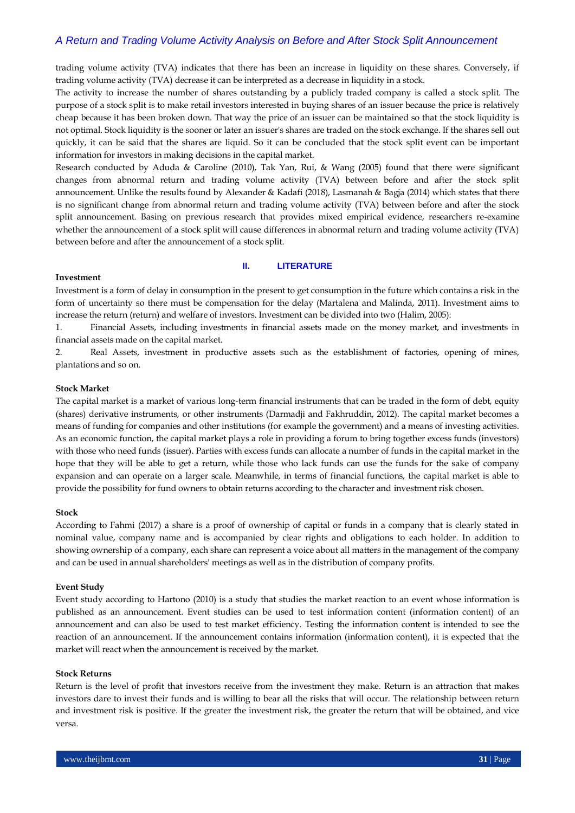trading volume activity (TVA) indicates that there has been an increase in liquidity on these shares. Conversely, if trading volume activity (TVA) decrease it can be interpreted as a decrease in liquidity in a stock.

The activity to increase the number of shares outstanding by a publicly traded company is called a stock split. The purpose of a stock split is to make retail investors interested in buying shares of an issuer because the price is relatively cheap because it has been broken down. That way the price of an issuer can be maintained so that the stock liquidity is not optimal. Stock liquidity is the sooner or later an issuer's shares are traded on the stock exchange. If the shares sell out quickly, it can be said that the shares are liquid. So it can be concluded that the stock split event can be important information for investors in making decisions in the capital market.

Research conducted by Aduda & Caroline (2010), Tak Yan, Rui, & Wang (2005) found that there were significant changes from abnormal return and trading volume activity (TVA) between before and after the stock split announcement. Unlike the results found by Alexander & Kadafi (2018), Lasmanah & Bagja (2014) which states that there is no significant change from abnormal return and trading volume activity (TVA) between before and after the stock split announcement. Basing on previous research that provides mixed empirical evidence, researchers re-examine whether the announcement of a stock split will cause differences in abnormal return and trading volume activity (TVA) between before and after the announcement of a stock split.

## **II. LITERATURE**

#### **Investment**

Investment is a form of delay in consumption in the present to get consumption in the future which contains a risk in the form of uncertainty so there must be compensation for the delay (Martalena and Malinda, 2011). Investment aims to increase the return (return) and welfare of investors. Investment can be divided into two (Halim, 2005):

1. Financial Assets, including investments in financial assets made on the money market, and investments in financial assets made on the capital market.

2. Real Assets, investment in productive assets such as the establishment of factories, opening of mines, plantations and so on.

#### **Stock Market**

The capital market is a market of various long-term financial instruments that can be traded in the form of debt, equity (shares) derivative instruments, or other instruments (Darmadji and Fakhruddin, 2012). The capital market becomes a means of funding for companies and other institutions (for example the government) and a means of investing activities. As an economic function, the capital market plays a role in providing a forum to bring together excess funds (investors) with those who need funds (issuer). Parties with excess funds can allocate a number of funds in the capital market in the hope that they will be able to get a return, while those who lack funds can use the funds for the sake of company expansion and can operate on a larger scale. Meanwhile, in terms of financial functions, the capital market is able to provide the possibility for fund owners to obtain returns according to the character and investment risk chosen.

## **Stock**

According to Fahmi (2017) a share is a proof of ownership of capital or funds in a company that is clearly stated in nominal value, company name and is accompanied by clear rights and obligations to each holder. In addition to showing ownership of a company, each share can represent a voice about all matters in the management of the company and can be used in annual shareholders' meetings as well as in the distribution of company profits.

#### **Event Study**

Event study according to Hartono (2010) is a study that studies the market reaction to an event whose information is published as an announcement. Event studies can be used to test information content (information content) of an announcement and can also be used to test market efficiency. Testing the information content is intended to see the reaction of an announcement. If the announcement contains information (information content), it is expected that the market will react when the announcement is received by the market.

## **Stock Returns**

Return is the level of profit that investors receive from the investment they make. Return is an attraction that makes investors dare to invest their funds and is willing to bear all the risks that will occur. The relationship between return and investment risk is positive. If the greater the investment risk, the greater the return that will be obtained, and vice versa.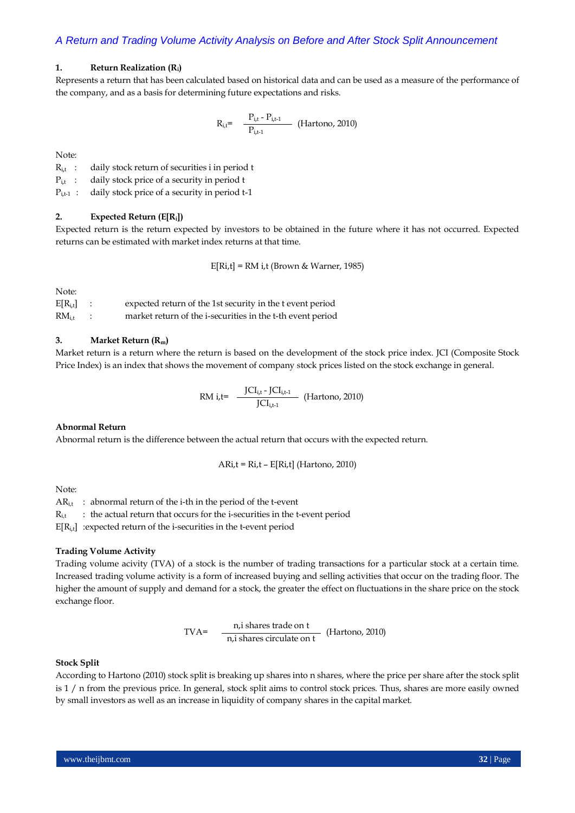## **1. Return Realization (Ri)**

Represents a return that has been calculated based on historical data and can be used as a measure of the performance of the company, and as a basis for determining future expectations and risks.

$$
R_{i,t} = \frac{P_{i,t} - P_{i,t-1}}{P_{i,t-1}}
$$
 (Hartono, 2010)

Note:

R<sub>it</sub>: daily stock return of securities i in period t

P<sub>it</sub>: daily stock price of a security in period t

P<sub>i,t-1</sub> : daily stock price of a security in period t-1

# **2. Expected Return (E[Ri])**

Expected return is the return expected by investors to be obtained in the future where it has not occurred. Expected returns can be estimated with market index returns at that time.

E[Ri,t] = RM i,t (Brown & Warner, 1985)

Note:

| $E[R_{i,t}]$ | expected return of the 1st security in the t event period  |
|--------------|------------------------------------------------------------|
| $RM_{i.t}$   | market return of the i-securities in the t-th event period |

## **3. Market Return (Rm)**

Market return is a return where the return is based on the development of the stock price index. JCI (Composite Stock Price Index) is an index that shows the movement of company stock prices listed on the stock exchange in general.

RM i,t= 
$$
\frac{JCI_{i,t} - JCI_{i,t-1}}{JCI_{i,t-1}}
$$
 (Hartono, 2010)

## **Abnormal Return**

Abnormal return is the difference between the actual return that occurs with the expected return.

 $ARi,t = Ri,t - E[Ri,t]$  (Hartono, 2010)

Note:

 $AR_{i,t}$ : abnormal return of the i-th in the period of the t-event  $R_{i,t}$  : the actual return that occurs for the *i*-securities in the t-event period E[Ri**,**t] :expected return of the i-securities in the t-event period

#### **Trading Volume Activity**

Trading volume acivity (TVA) of a stock is the number of trading transactions for a particular stock at a certain time. Increased trading volume activity is a form of increased buying and selling activities that occur on the trading floor. The higher the amount of supply and demand for a stock, the greater the effect on fluctuations in the share price on the stock exchange floor.

TVA=
$$
\frac{n, i \text{ shares trade on t}}{n, i \text{ shares circulate on t}} \quad \text{(Hartono, 2010)}
$$

#### **Stock Split**

According to Hartono (2010) stock split is breaking up shares into n shares, where the price per share after the stock split is 1 / n from the previous price. In general, stock split aims to control stock prices. Thus, shares are more easily owned by small investors as well as an increase in liquidity of company shares in the capital market.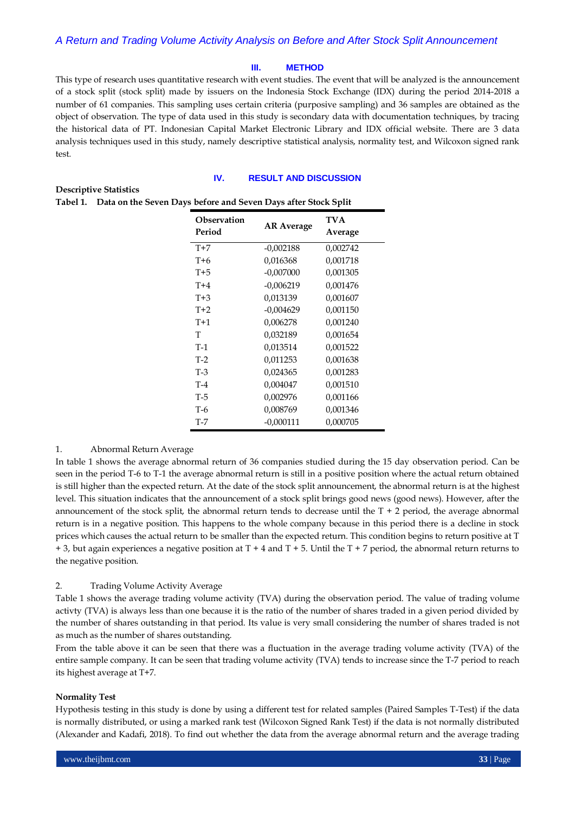## **III. METHOD**

This type of research uses quantitative research with event studies. The event that will be analyzed is the announcement of a stock split (stock split) made by issuers on the Indonesia Stock Exchange (IDX) during the period 2014-2018 a number of 61 companies. This sampling uses certain criteria (purposive sampling) and 36 samples are obtained as the object of observation. The type of data used in this study is secondary data with documentation techniques, by tracing the historical data of PT. Indonesian Capital Market Electronic Library and IDX official website. There are 3 data analysis techniques used in this study, namely descriptive statistical analysis, normality test, and Wilcoxon signed rank test.

# **IV. RESULT AND DISCUSSION**

# **Descriptive Statistics**

|  | Tabel 1. Data on the Seven Days before and Seven Days after Stock Split |
|--|-------------------------------------------------------------------------|
|  |                                                                         |

| <b>TVA</b><br><b>Observation</b><br><b>AR Average</b><br>Period<br>Average<br>$T+7$<br>$-0,002188$<br>0,002742<br>$T+6$<br>0,001718<br>0,016368<br>$T+5$<br>0,001305<br>$-0.007000$<br>0,001476<br>$T+4$<br>$-0,006219$<br>$T+3$<br>0,001607<br>0,013139<br>$T+2$<br>$-0,004629$<br>0,001150<br>$T+1$<br>0,006278<br>0,001240<br>T<br>0,001654<br>0,032189<br>$T-1$<br>0,001522<br>0,013514<br>$T-2$<br>0,011253<br>0,001638<br>$T-3$<br>0,001283<br>0,024365<br>$T-4$<br>0,004047<br>0,001510<br>$T-5$<br>0,001166<br>0,002976<br>$T-6$<br>0,008769<br>0,001346<br>T-7<br>$-0,000111$<br>0,000705 |  |  |
|----------------------------------------------------------------------------------------------------------------------------------------------------------------------------------------------------------------------------------------------------------------------------------------------------------------------------------------------------------------------------------------------------------------------------------------------------------------------------------------------------------------------------------------------------------------------------------------------------|--|--|
|                                                                                                                                                                                                                                                                                                                                                                                                                                                                                                                                                                                                    |  |  |
|                                                                                                                                                                                                                                                                                                                                                                                                                                                                                                                                                                                                    |  |  |
|                                                                                                                                                                                                                                                                                                                                                                                                                                                                                                                                                                                                    |  |  |
|                                                                                                                                                                                                                                                                                                                                                                                                                                                                                                                                                                                                    |  |  |
|                                                                                                                                                                                                                                                                                                                                                                                                                                                                                                                                                                                                    |  |  |
|                                                                                                                                                                                                                                                                                                                                                                                                                                                                                                                                                                                                    |  |  |
|                                                                                                                                                                                                                                                                                                                                                                                                                                                                                                                                                                                                    |  |  |
|                                                                                                                                                                                                                                                                                                                                                                                                                                                                                                                                                                                                    |  |  |
|                                                                                                                                                                                                                                                                                                                                                                                                                                                                                                                                                                                                    |  |  |
|                                                                                                                                                                                                                                                                                                                                                                                                                                                                                                                                                                                                    |  |  |
|                                                                                                                                                                                                                                                                                                                                                                                                                                                                                                                                                                                                    |  |  |
|                                                                                                                                                                                                                                                                                                                                                                                                                                                                                                                                                                                                    |  |  |
|                                                                                                                                                                                                                                                                                                                                                                                                                                                                                                                                                                                                    |  |  |
|                                                                                                                                                                                                                                                                                                                                                                                                                                                                                                                                                                                                    |  |  |
|                                                                                                                                                                                                                                                                                                                                                                                                                                                                                                                                                                                                    |  |  |
|                                                                                                                                                                                                                                                                                                                                                                                                                                                                                                                                                                                                    |  |  |

# 1. Abnormal Return Average

In table 1 shows the average abnormal return of 36 companies studied during the 15 day observation period. Can be seen in the period T-6 to T-1 the average abnormal return is still in a positive position where the actual return obtained is still higher than the expected return. At the date of the stock split announcement, the abnormal return is at the highest level. This situation indicates that the announcement of a stock split brings good news (good news). However, after the announcement of the stock split, the abnormal return tends to decrease until the  $T + 2$  period, the average abnormal return is in a negative position. This happens to the whole company because in this period there is a decline in stock prices which causes the actual return to be smaller than the expected return. This condition begins to return positive at T  $+ 3$ , but again experiences a negative position at T + 4 and T + 5. Until the T + 7 period, the abnormal return returns to the negative position.

# 2. Trading Volume Activity Average

Table 1 shows the average trading volume activity (TVA) during the observation period. The value of trading volume activty (TVA) is always less than one because it is the ratio of the number of shares traded in a given period divided by the number of shares outstanding in that period. Its value is very small considering the number of shares traded is not as much as the number of shares outstanding.

From the table above it can be seen that there was a fluctuation in the average trading volume activity (TVA) of the entire sample company. It can be seen that trading volume activity (TVA) tends to increase since the T-7 period to reach its highest average at T+7.

#### **Normality Test**

Hypothesis testing in this study is done by using a different test for related samples (Paired Samples T-Test) if the data is normally distributed, or using a marked rank test (Wilcoxon Signed Rank Test) if the data is not normally distributed (Alexander and Kadafi, 2018). To find out whether the data from the average abnormal return and the average trading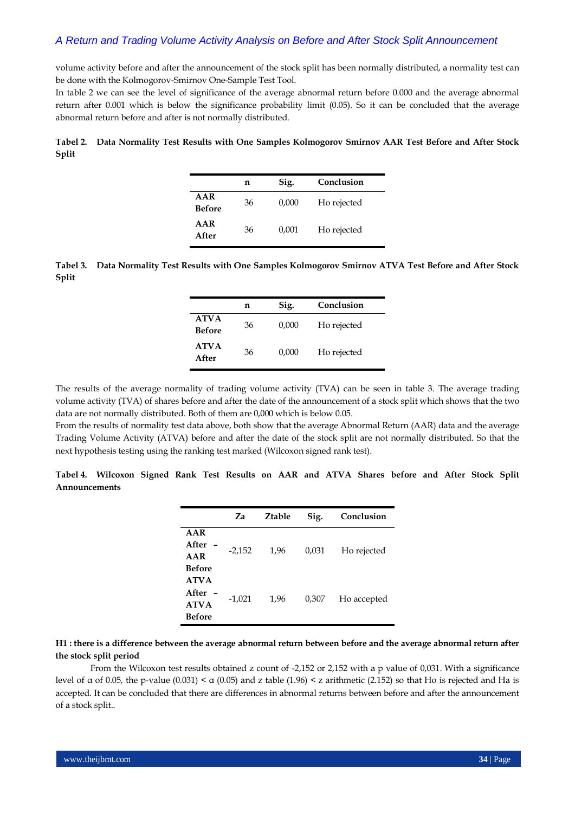volume activity before and after the announcement of the stock split has been normally distributed, a normality test can be done with the Kolmogorov-Smirnov One-Sample Test Tool.

In table 2 we can see the level of significance of the average abnormal return before 0.000 and the average abnormal return after 0.001 which is below the significance probability limit (0.05). So it can be concluded that the average abnormal return before and after is not normally distributed.

# **Tabel 2. Data Normality Test Results with One Samples Kolmogorov Smirnov AAR Test Before and After Stock Split**

|                      | n  | Sig.  | Conclusion  |
|----------------------|----|-------|-------------|
| AAR<br><b>Before</b> | 36 | 0,000 | Ho rejected |
| AAR<br>After         | 36 | 0,001 | Ho rejected |

**Tabel 3. Data Normality Test Results with One Samples Kolmogorov Smirnov ATVA Test Before and After Stock Split**

|                              | n  | Sig.  | Conclusion  |
|------------------------------|----|-------|-------------|
| <b>ATVA</b><br><b>Before</b> | 36 | 0,000 | Ho rejected |
| <b>ATVA</b><br>After         | 36 | 0,000 | Ho rejected |

The results of the average normality of trading volume activity (TVA) can be seen in table 3. The average trading volume activity (TVA) of shares before and after the date of the announcement of a stock split which shows that the two data are not normally distributed. Both of them are 0,000 which is below 0.05.

From the results of normality test data above, both show that the average Abnormal Return (AAR) data and the average Trading Volume Activity (ATVA) before and after the date of the stock split are not normally distributed. So that the next hypothesis testing using the ranking test marked (Wilcoxon signed rank test).

|                                                         | Za       | <b>Ztable</b> | Sig.  | Conclusion  |
|---------------------------------------------------------|----------|---------------|-------|-------------|
| AAR<br>After<br>AAR                                     | $-2,152$ | 1.96          | 0,031 | Ho rejected |
| Before<br><b>ATVA</b><br>After<br><b>ATVA</b><br>Before | $-1,021$ | 1,96          | 0,307 | Ho accepted |

**Tabel 4. Wilcoxon Signed Rank Test Results on AAR and ATVA Shares before and After Stock Split Announcements**

# **H1 : there is a difference between the average abnormal return between before and the average abnormal return after the stock split period**

From the Wilcoxon test results obtained z count of -2,152 or 2,152 with a p value of 0,031. With a significance level of α of 0.05, the p-value (0.031) < α (0.05) and z table (1.96) < z arithmetic (2.152) so that Ho is rejected and Ha is accepted. It can be concluded that there are differences in abnormal returns between before and after the announcement of a stock split..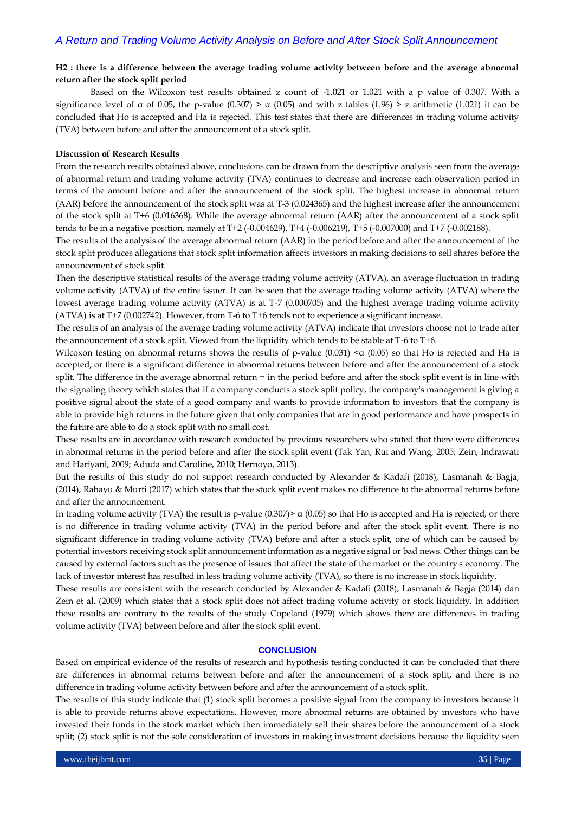# **H2 : there is a difference between the average trading volume activity between before and the average abnormal return after the stock split period**

Based on the Wilcoxon test results obtained z count of -1.021 or 1.021 with a p value of 0.307. With a significance level of  $\alpha$  of 0.05, the p-value (0.307) >  $\alpha$  (0.05) and with z tables (1.96) > z arithmetic (1.021) it can be concluded that Ho is accepted and Ha is rejected. This test states that there are differences in trading volume activity (TVA) between before and after the announcement of a stock split.

### **Discussion of Research Results**

From the research results obtained above, conclusions can be drawn from the descriptive analysis seen from the average of abnormal return and trading volume activity (TVA) continues to decrease and increase each observation period in terms of the amount before and after the announcement of the stock split. The highest increase in abnormal return (AAR) before the announcement of the stock split was at T-3 (0.024365) and the highest increase after the announcement of the stock split at T+6 (0.016368). While the average abnormal return (AAR) after the announcement of a stock split tends to be in a negative position, namely at T+2 (-0.004629), T+4 (-0.006219), T+5 (-0.007000) and T+7 (-0.002188).

The results of the analysis of the average abnormal return (AAR) in the period before and after the announcement of the stock split produces allegations that stock split information affects investors in making decisions to sell shares before the announcement of stock split.

Then the descriptive statistical results of the average trading volume activity (ATVA), an average fluctuation in trading volume activity (ATVA) of the entire issuer. It can be seen that the average trading volume activity (ATVA) where the lowest average trading volume activity (ATVA) is at T-7 (0,000705) and the highest average trading volume activity (ATVA) is at T+7 (0.002742). However, from T-6 to T+6 tends not to experience a significant increase.

The results of an analysis of the average trading volume activity (ATVA) indicate that investors choose not to trade after the announcement of a stock split. Viewed from the liquidity which tends to be stable at T-6 to T+6.

Wilcoxon testing on abnormal returns shows the results of p-value (0.031)  $\lt \alpha$  (0.05) so that Ho is rejected and Ha is accepted, or there is a significant difference in abnormal returns between before and after the announcement of a stock split. The difference in the average abnormal return  $\neg$  in the period before and after the stock split event is in line with the signaling theory which states that if a company conducts a stock split policy, the company's management is giving a positive signal about the state of a good company and wants to provide information to investors that the company is able to provide high returns in the future given that only companies that are in good performance and have prospects in the future are able to do a stock split with no small cost.

These results are in accordance with research conducted by previous researchers who stated that there were differences in abnormal returns in the period before and after the stock split event (Tak Yan, Rui and Wang, 2005; Zein, Indrawati and Hariyani, 2009; Aduda and Caroline, 2010; Hernoyo, 2013).

But the results of this study do not support research conducted by Alexander & Kadafi (2018), Lasmanah & Bagja, (2014), Rahayu & Murti (2017) which states that the stock split event makes no difference to the abnormal returns before and after the announcement.

In trading volume activity (TVA) the result is p-value  $(0.307)$  a  $(0.05)$  so that Ho is accepted and Ha is rejected, or there is no difference in trading volume activity (TVA) in the period before and after the stock split event. There is no significant difference in trading volume activity (TVA) before and after a stock split, one of which can be caused by potential investors receiving stock split announcement information as a negative signal or bad news. Other things can be caused by external factors such as the presence of issues that affect the state of the market or the country's economy. The lack of investor interest has resulted in less trading volume activity (TVA), so there is no increase in stock liquidity.

These results are consistent with the research conducted by Alexander & Kadafi (2018), Lasmanah & Bagja (2014) dan Zein et al. (2009) which states that a stock split does not affect trading volume activity or stock liquidity. In addition these results are contrary to the results of the study Copeland (1979) which shows there are differences in trading volume activity (TVA) between before and after the stock split event.

## **CONCLUSION**

Based on empirical evidence of the results of research and hypothesis testing conducted it can be concluded that there are differences in abnormal returns between before and after the announcement of a stock split, and there is no difference in trading volume activity between before and after the announcement of a stock split.

The results of this study indicate that (1) stock split becomes a positive signal from the company to investors because it is able to provide returns above expectations. However, more abnormal returns are obtained by investors who have invested their funds in the stock market which then immediately sell their shares before the announcement of a stock split; (2) stock split is not the sole consideration of investors in making investment decisions because the liquidity seen